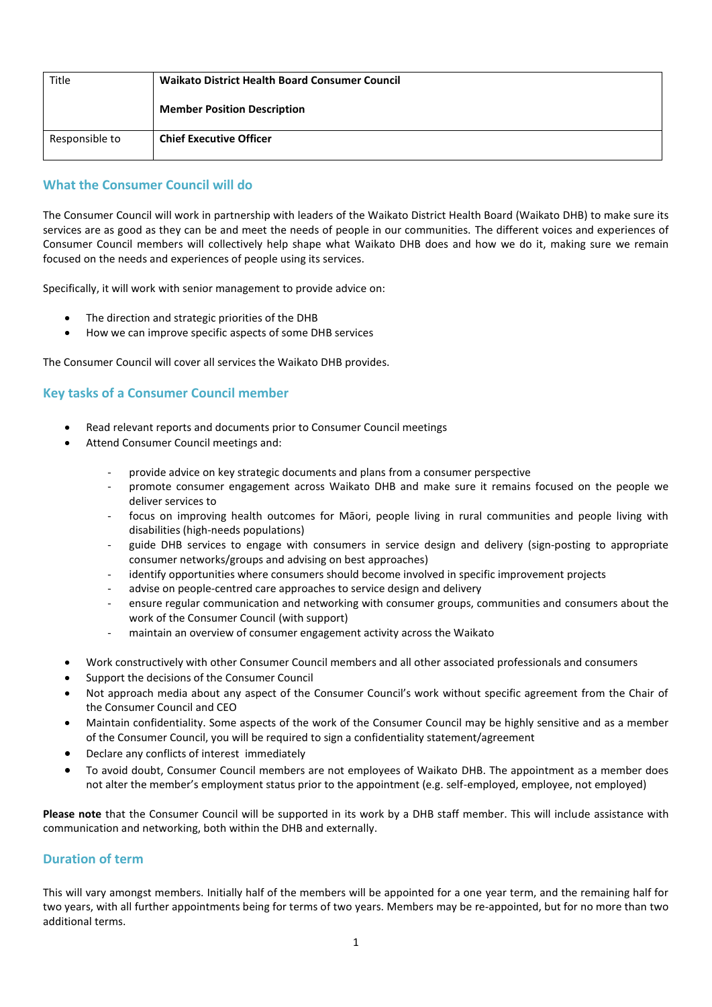| Title          | <b>Waikato District Health Board Consumer Council</b> |
|----------------|-------------------------------------------------------|
|                | <b>Member Position Description</b>                    |
| Responsible to | <b>Chief Executive Officer</b>                        |

## **What the Consumer Council will do**

The Consumer Council will work in partnership with leaders of the Waikato District Health Board (Waikato DHB) to make sure its services are as good as they can be and meet the needs of people in our communities. The different voices and experiences of Consumer Council members will collectively help shape what Waikato DHB does and how we do it, making sure we remain focused on the needs and experiences of people using its services.

Specifically, it will work with senior management to provide advice on:

- The direction and strategic priorities of the DHB
- How we can improve specific aspects of some DHB services

The Consumer Council will cover all services the Waikato DHB provides.

# **Key tasks of a Consumer Council member**

- Read relevant reports and documents prior to Consumer Council meetings
- Attend Consumer Council meetings and:
	- provide advice on key strategic documents and plans from a consumer perspective
	- promote consumer engagement across Waikato DHB and make sure it remains focused on the people we deliver services to
	- focus on improving health outcomes for Māori, people living in rural communities and people living with disabilities (high-needs populations)
	- guide DHB services to engage with consumers in service design and delivery (sign-posting to appropriate consumer networks/groups and advising on best approaches)
	- identify opportunities where consumers should become involved in specific improvement projects
	- advise on people-centred care approaches to service design and delivery
	- ensure regular communication and networking with consumer groups, communities and consumers about the work of the Consumer Council (with support)
	- maintain an overview of consumer engagement activity across the Waikato
- Work constructively with other Consumer Council members and all other associated professionals and consumers
- Support the decisions of the Consumer Council
- Not approach media about any aspect of the Consumer Council's work without specific agreement from the Chair of the Consumer Council and CEO
- Maintain confidentiality. Some aspects of the work of the Consumer Council may be highly sensitive and as a member of the Consumer Council, you will be required to sign a confidentiality statement/agreement
- Declare any conflicts of interest immediately
- To avoid doubt, Consumer Council members are not employees of Waikato DHB. The appointment as a member does not alter the member's employment status prior to the appointment (e.g. self-employed, employee, not employed)

**Please note** that the Consumer Council will be supported in its work by a DHB staff member. This will include assistance with communication and networking, both within the DHB and externally.

### **Duration of term**

This will vary amongst members. Initially half of the members will be appointed for a one year term, and the remaining half for two years, with all further appointments being for terms of two years. Members may be re-appointed, but for no more than two additional terms.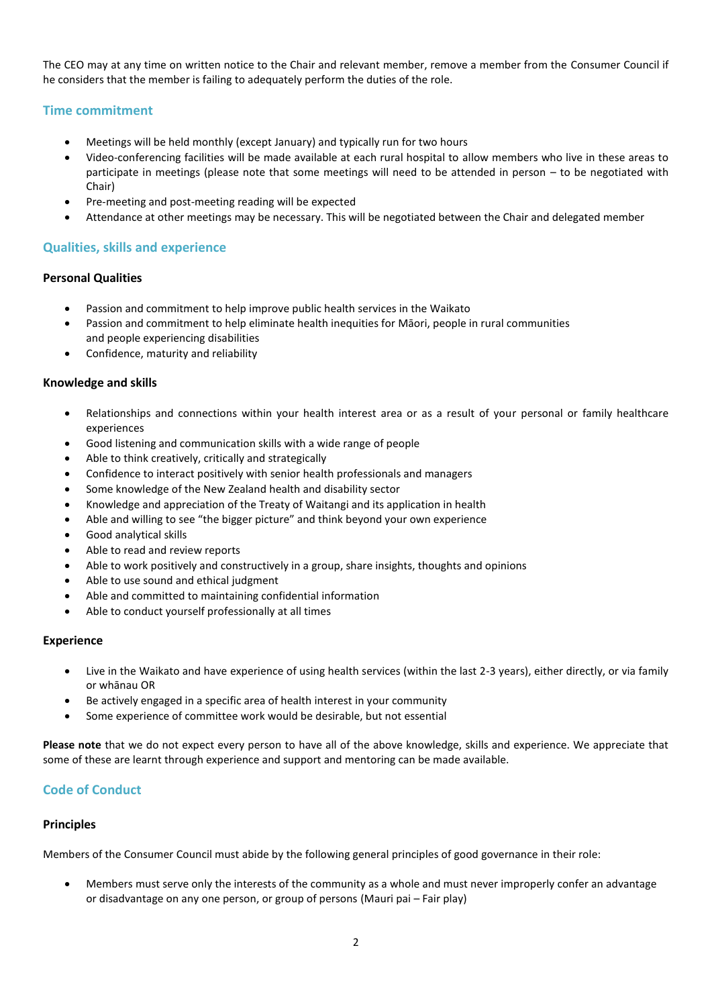The CEO may at any time on written notice to the Chair and relevant member, remove a member from the Consumer Council if he considers that the member is failing to adequately perform the duties of the role.

### **Time commitment**

- Meetings will be held monthly (except January) and typically run for two hours
- Video-conferencing facilities will be made available at each rural hospital to allow members who live in these areas to participate in meetings (please note that some meetings will need to be attended in person – to be negotiated with Chair)
- Pre-meeting and post-meeting reading will be expected
- Attendance at other meetings may be necessary. This will be negotiated between the Chair and delegated member

### **Qualities, skills and experience**

#### **Personal Qualities**

- Passion and commitment to help improve public health services in the Waikato
- Passion and commitment to help eliminate health inequities for Māori, people in rural communities and people experiencing disabilities
- Confidence, maturity and reliability

### **Knowledge and skills**

- Relationships and connections within your health interest area or as a result of your personal or family healthcare experiences
- Good listening and communication skills with a wide range of people
- Able to think creatively, critically and strategically
- Confidence to interact positively with senior health professionals and managers
- Some knowledge of the New Zealand health and disability sector
- Knowledge and appreciation of the Treaty of Waitangi and its application in health
- Able and willing to see "the bigger picture" and think beyond your own experience
- Good analytical skills
- Able to read and review reports
- Able to work positively and constructively in a group, share insights, thoughts and opinions
- Able to use sound and ethical judgment
- Able and committed to maintaining confidential information
- Able to conduct yourself professionally at all times

#### **Experience**

- Live in the Waikato and have experience of using health services (within the last 2-3 years), either directly, or via family or whānau OR
- Be actively engaged in a specific area of health interest in your community
- Some experience of committee work would be desirable, but not essential

**Please note** that we do not expect every person to have all of the above knowledge, skills and experience. We appreciate that some of these are learnt through experience and support and mentoring can be made available.

# **Code of Conduct**

### **Principles**

Members of the Consumer Council must abide by the following general principles of good governance in their role:

 Members must serve only the interests of the community as a whole and must never improperly confer an advantage or disadvantage on any one person, or group of persons (Mauri pai – Fair play)